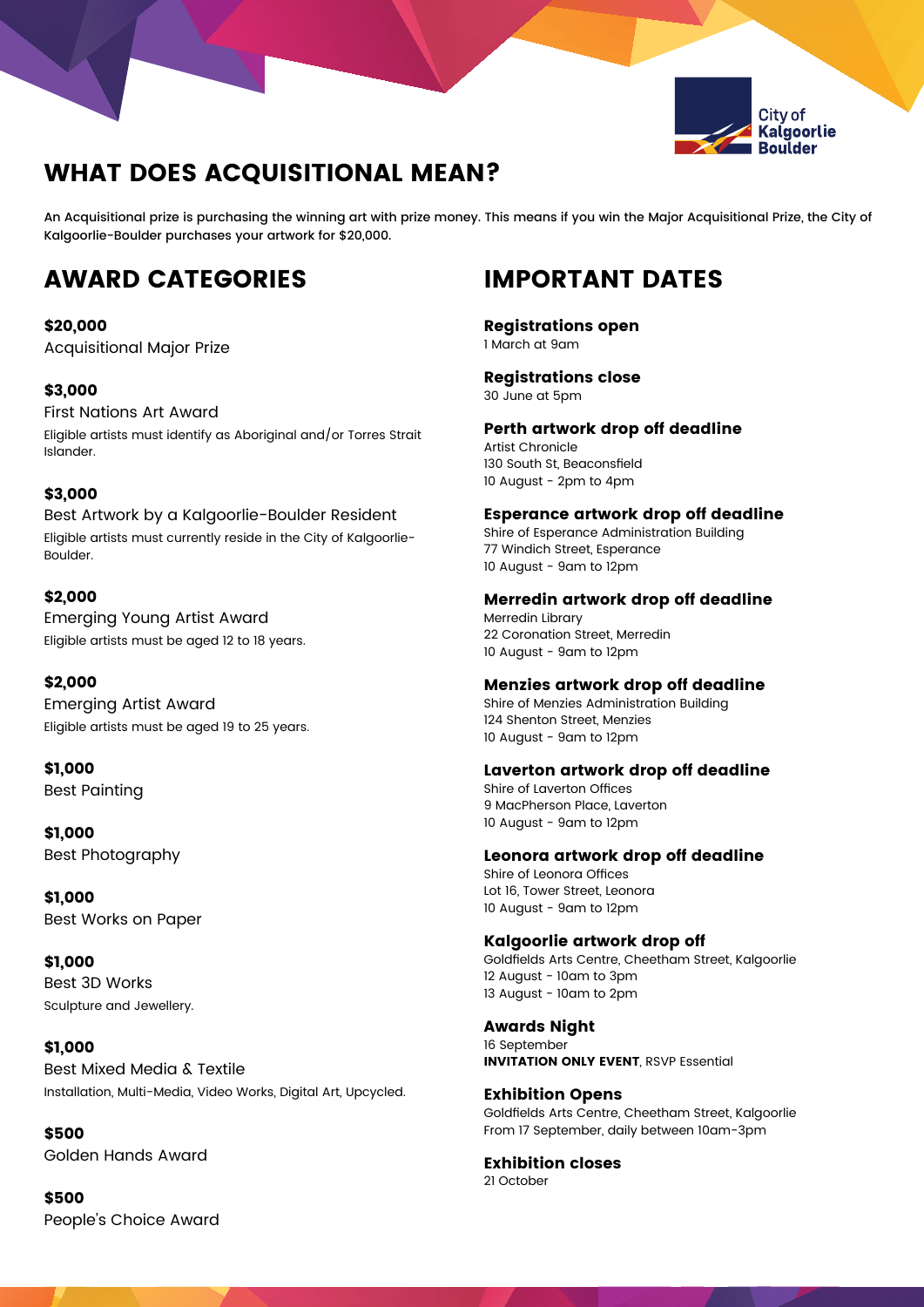

# WHAT DOES ACQUISITIONAL MEAN?

An Acquisitional prize is purchasing the winning art with prize money. This means if you win the Major Acquisitional Prize, the City of Kalgoorlie-Boulder purchases your artwork for \$20,000.

# AWARD CATEGORIES IMPORTANT DATES

# \$20,000

Acquisitional Major Prize

# \$3,000

First Nations Art Award Eligible artists must identify as Aboriginal and/or Torres Strait Islander.

### \$3,000

Best Artwork by a Kalgoorlie-Boulder Resident Eligible artists must currently reside in the City of Kalgoorlie-Boulder.

# \$2,000

Emerging Young Artist Award Eligible artists must be aged 12 to 18 years.

### \$2,000

Emerging Artist Award Eligible artists must be aged 19 to 25 years.

\$1,000 Best Painting

\$1,000 Best Photography

\$1,000 Best Works on Paper

\$1,000 Best 3D Works Sculpture and Jewellery.

### \$1,000

Best Mixed Media & Textile Installation, Multi-Media, Video Works, Digital Art, Upcycled.

### \$500

Golden Hands Award

\$500 People's Choice Award

Registrations open 1 March at 9am

Registrations close

30 June at 5pm

Perth artwork drop off deadline Artist Chronicle

130 South St, Beaconsfield 10 August - 2pm to 4pm

Esperance artwork drop off deadline

Shire of Esperance Administration Building 77 Windich Street, Esperance 10 August - 9am to 12pm

Merredin artwork drop off deadline Merredin Library 22 Coronation Street, Merredin 10 August - 9am to 12pm

#### Menzies artwork drop off deadline

Shire of Menzies Administration Building 124 Shenton Street, Menzies 10 August - 9am to 12pm

### Laverton artwork drop off deadline

Shire of Laverton Offices 9 MacPherson Place, Laverton 10 August - 9am to 12pm

### Leonora artwork drop off deadline

Shire of Leonora Offices Lot 16, Tower Street, Leonora 10 August - 9am to 12pm

### Kalgoorlie artwork drop off

Goldfields Arts Centre, Cheetham Street, Kalgoorlie 12 August - 10am to 3pm 13 August - 10am to 2pm

Awards Night 16 September INVITATION ONLY EVENT, RSVP Essential

Exhibition Opens Goldfields Arts Centre, Cheetham Street, Kalgoorlie From 17 September, daily between 10am-3pm

Exhibition closes 21 October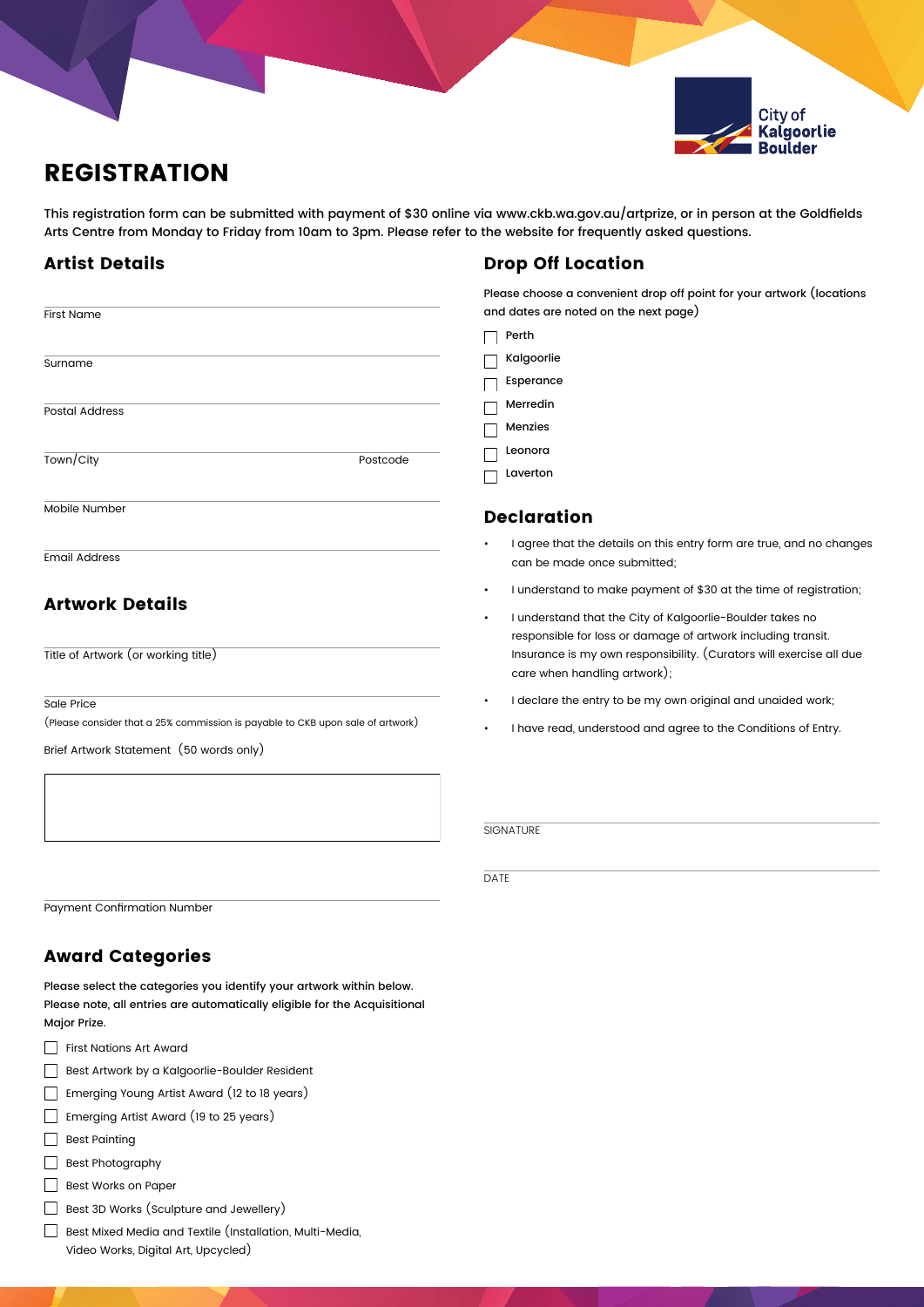

# REGISTRATION

This registration form can be submitted with payment of \$30 online via www.ckb.wa.gov.au/artprize, or in person at the Goldfields Arts Centre from Monday to Friday from 10am to 3pm. Please refer to the website for frequently asked questions.

# Artist Details

#### First Name  $\Box$  Perth Kalgoorlie **Surname** Esperance П Merredin  $\Box$ Postal Address Menzies  $\Box$ Leonora  $\Box$ Town/City Postcode Laverton  $\Box$ Mobile Number Declaration I agree that the details on this entry form are true, and no changes Email Address can be made once submitted; • I understand to make payment of \$30 at the time of registration; Artwork Details • I understand that the City of Kalgoorlie-Boulder takes no responsible for loss or damage of artwork including transit. Title of Artwork (or working title) Insurance is my own responsibility. (Curators will exercise all due

Sale Price

(Please consider that a 25% commission is payable to CKB upon sale of artwork)

Brief Artwork Statement (50 words only)

Payment Confirmation Number

# Award Categories

Please select the categories you identify your artwork within below. Please note, all entries are automatically eligible for the Acquisitional Major Prize.

- First Nations Art Award
- Best Artwork by a Kalgoorlie-Boulder Resident

Emerging Young Artist Award (12 to 18 years)

- Emerging Artist Award (19 to 25 years)
- Best Painting
- Best Photography
- $\Box$  Best Works on Paper
- Best 3D Works (Sculpture and Jewellery)
- Best Mixed Media and Textile (Installation, Multi-Media, Video Works, Digital Art, Upcycled)

# Drop Off Location

Please choose a convenient drop off point for your artwork (locations and dates are noted on the next page)

- care when handling artwork);
- I declare the entry to be my own original and unaided work;
- I have read, understood and agree to the Conditions of Entry.

# **SIGNATURE**

DATE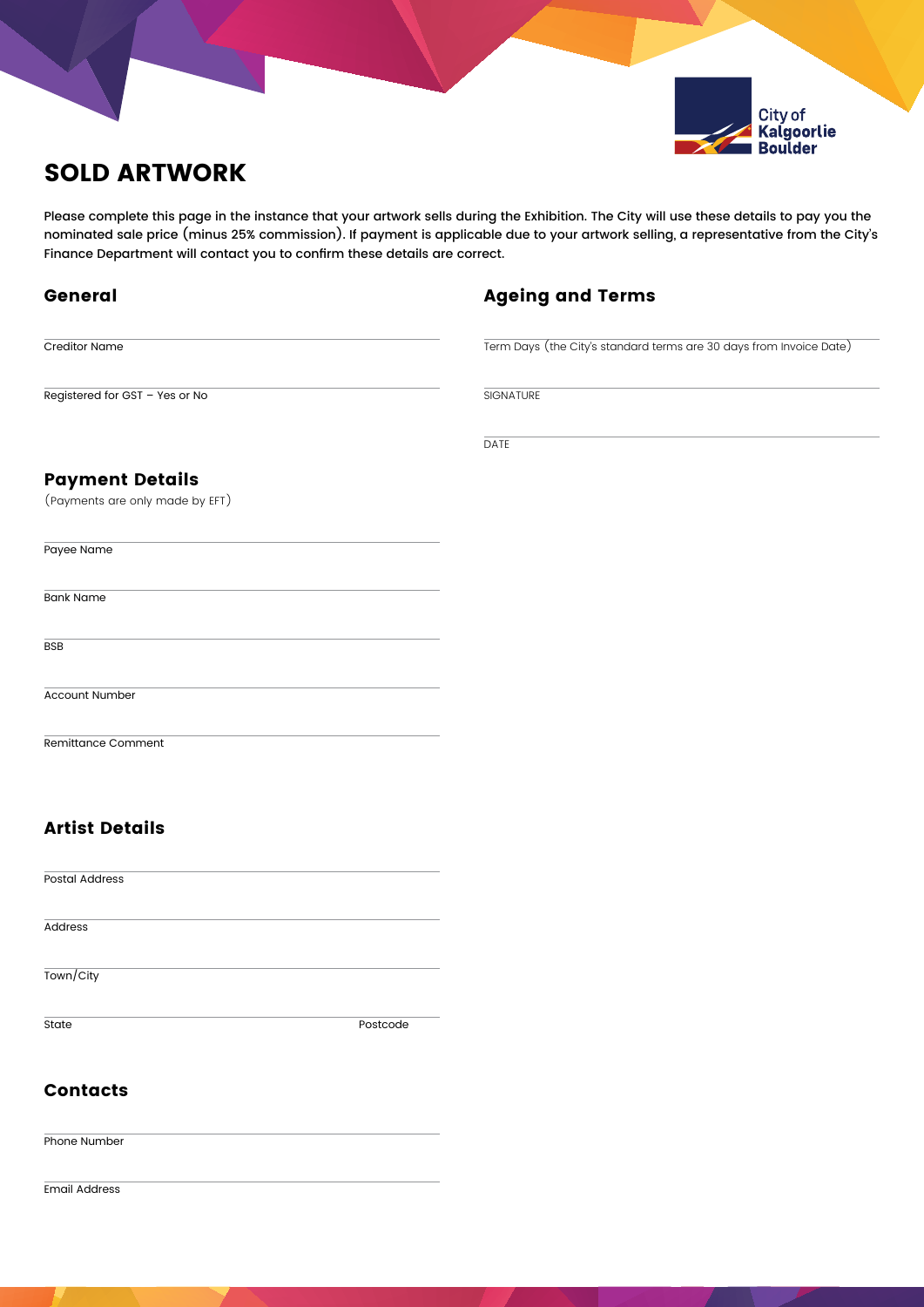

Please complete this page in the instance that your artwork sells during the Exhibition. The City will use these details to pay you the nominated sale price (minus 25% commission). If payment is applicable due to your artwork selling, a representative from the City's Finance Department will contact you to confirm these details are correct.

| <b>Ageing and Terms</b> |  |  |
|-------------------------|--|--|
|-------------------------|--|--|

Term Days (the City's standard terms are 30 days from Invoice Date)

Registered for GST – Yes or No

General

Creditor Name

**SIGNATURE** 

DATE

# Payment Details

(Payments are only made by EFT)

| Payee Name       |  |  |  |
|------------------|--|--|--|
| <b>Bank Name</b> |  |  |  |
| <b>BSB</b>       |  |  |  |

Account Number

Remittance Comment

# Artist Details

Postal Address Address Town/City State Postcode

# **Contacts**

Phone Number

Email Address

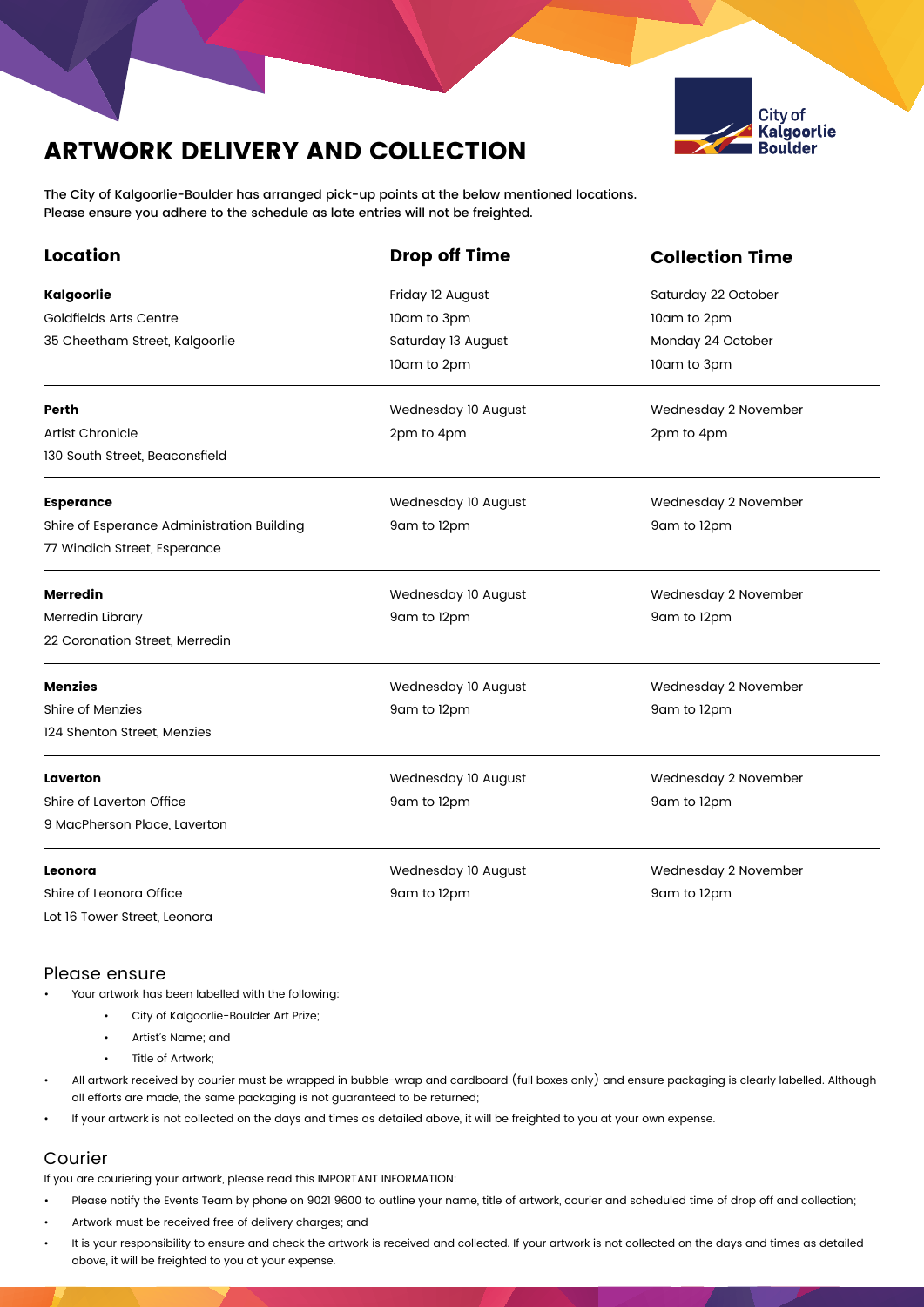# ARTWORK DELIVERY AND COLLECTION



The City of Kalgoorlie-Boulder has arranged pick-up points at the below mentioned locations. Please ensure you adhere to the schedule as late entries will not be freighted.

| <b>Location</b>                            | <b>Drop off Time</b>                        | <b>Collection Time</b> |  |  |
|--------------------------------------------|---------------------------------------------|------------------------|--|--|
| Kalgoorlie                                 | Friday 12 August                            | Saturday 22 October    |  |  |
| Goldfields Arts Centre                     | 10am to 3pm                                 | 10am to 2pm            |  |  |
| 35 Cheetham Street, Kalgoorlie             | Saturday 13 August                          | Monday 24 October      |  |  |
|                                            | 10am to 2pm                                 | 10am to 3pm            |  |  |
| Perth                                      | Wednesday 10 August<br>Wednesday 2 November |                        |  |  |
| Artist Chronicle                           | 2pm to 4pm                                  | 2pm to 4pm             |  |  |
| 130 South Street, Beaconsfield             |                                             |                        |  |  |
| <b>Esperance</b>                           | Wednesday 10 August<br>Wednesday 2 November |                        |  |  |
| Shire of Esperance Administration Building | 9am to 12pm<br>9am to 12pm                  |                        |  |  |
| 77 Windich Street, Esperance               |                                             |                        |  |  |
| <b>Merredin</b>                            | Wednesday 10 August                         | Wednesday 2 November   |  |  |
| Merredin Library                           | 9am to 12pm                                 | 9am to 12pm            |  |  |
| 22 Coronation Street, Merredin             |                                             |                        |  |  |
| Menzies                                    | Wednesday 10 August<br>Wednesday 2 November |                        |  |  |
| Shire of Menzies                           | 9am to 12pm                                 | 9am to 12pm            |  |  |
| 124 Shenton Street, Menzies                |                                             |                        |  |  |
| Laverton                                   | Wednesday 10 August                         | Wednesday 2 November   |  |  |
| Shire of Laverton Office                   | 9am to 12pm                                 | 9am to 12pm            |  |  |
| 9 MacPherson Place, Laverton               |                                             |                        |  |  |
| Leonora                                    | Wednesday 10 August<br>Wednesday 2 November |                        |  |  |
| Shire of Leonora Office                    | 9am to 12pm<br>9am to 12pm                  |                        |  |  |
| Lot 16 Tower Street, Leonora               |                                             |                        |  |  |

#### Please ensure

- Your artwork has been labelled with the following:
	- City of Kalgoorlie-Boulder Art Prize;
	- Artist's Name; and
	- Title of Artwork;
- All artwork received by courier must be wrapped in bubble-wrap and cardboard (full boxes only) and ensure packaging is clearly labelled. Although all efforts are made, the same packaging is not guaranteed to be returned;
- If your artwork is not collected on the days and times as detailed above, it will be freighted to you at your own expense.

# Courier

If you are couriering your artwork, please read this IMPORTANT INFORMATION:

- Please notify the Events Team by phone on 9021 9600 to outline your name, title of artwork, courier and scheduled time of drop off and collection;
- Artwork must be received free of delivery charges; and
- It is your responsibility to ensure and check the artwork is received and collected. If your artwork is not collected on the days and times as detailed above, it will be freighted to you at your expense.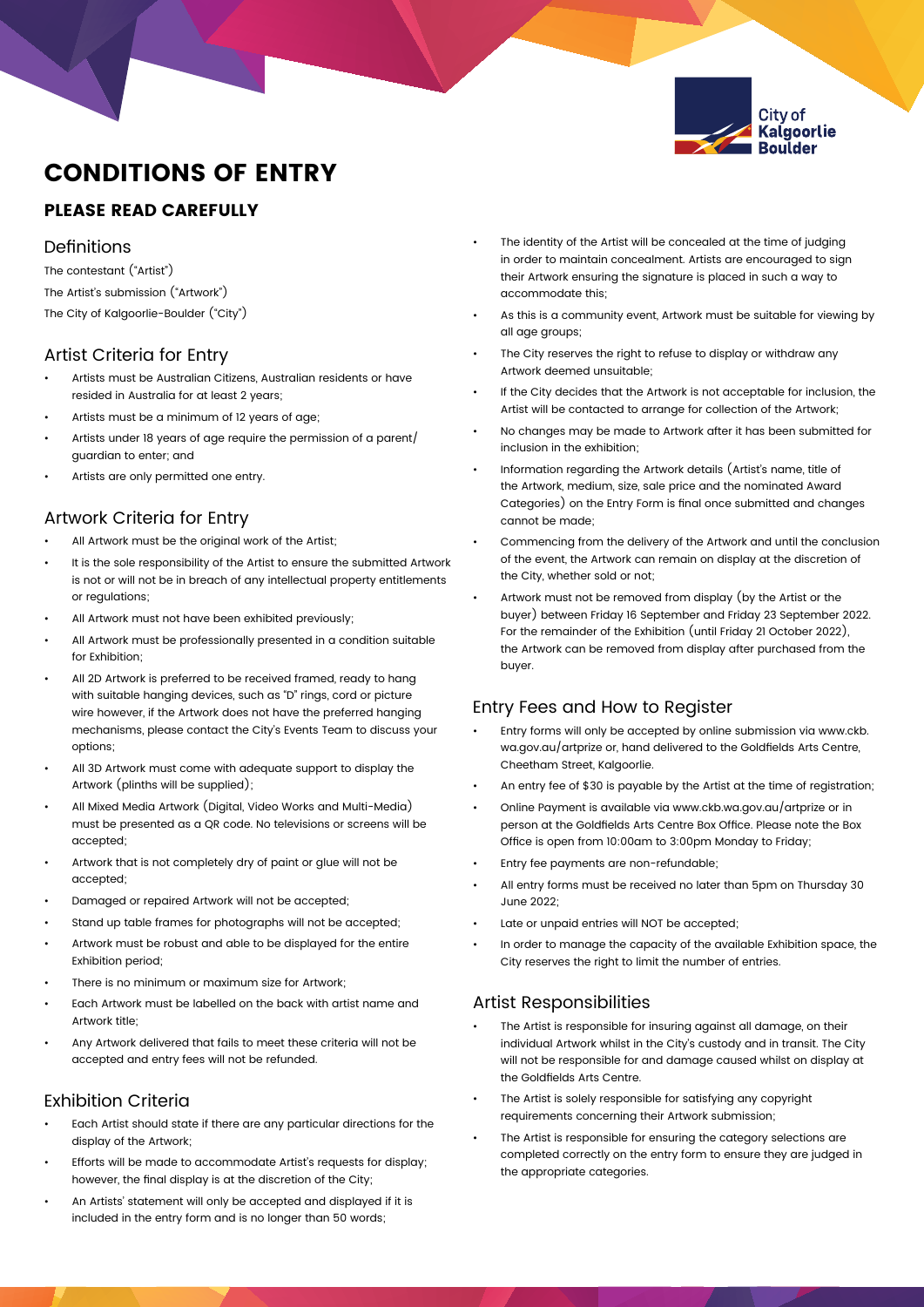

# CONDITIONS OF ENTRY

# PLEASE READ CAREFULLY

#### **Definitions**

The contestant ("Artist") The Artist's submission ("Artwork")

The City of Kalgoorlie-Boulder ("City")

#### Artist Criteria for Entry

- Artists must be Australian Citizens, Australian residents or have resided in Australia for at least 2 years;
- Artists must be a minimum of 12 years of age;
- Artists under 18 years of age require the permission of a parent/ guardian to enter; and
- Artists are only permitted one entry.

# Artwork Criteria for Entry

- All Artwork must be the original work of the Artist;
- It is the sole responsibility of the Artist to ensure the submitted Artwork is not or will not be in breach of any intellectual property entitlements or regulations;
- All Artwork must not have been exhibited previously;
- All Artwork must be professionally presented in a condition suitable for Exhibition;
- All 2D Artwork is preferred to be received framed, ready to hang with suitable hanging devices, such as "D" rings, cord or picture wire however, if the Artwork does not have the preferred hanging mechanisms, please contact the City's Events Team to discuss your options;
- All 3D Artwork must come with adequate support to display the Artwork (plinths will be supplied);
- All Mixed Media Artwork (Digital, Video Works and Multi-Media) must be presented as a QR code. No televisions or screens will be accepted;
- Artwork that is not completely dry of paint or glue will not be accepted;
- Damaged or repaired Artwork will not be accepted;
- Stand up table frames for photographs will not be accepted;
- Artwork must be robust and able to be displayed for the entire Exhibition period;
- There is no minimum or maximum size for Artwork;
- Each Artwork must be labelled on the back with artist name and Artwork title;
- Any Artwork delivered that fails to meet these criteria will not be accepted and entry fees will not be refunded.

# Exhibition Criteria

- Each Artist should state if there are any particular directions for the display of the Artwork;
- Efforts will be made to accommodate Artist's requests for display; however, the final display is at the discretion of the City;
- An Artists' statement will only be accepted and displayed if it is included in the entry form and is no longer than 50 words;
- The identity of the Artist will be concealed at the time of judging in order to maintain concealment. Artists are encouraged to sign their Artwork ensuring the signature is placed in such a way to accommodate this;
- As this is a community event, Artwork must be suitable for viewing by all age groups;
- The City reserves the right to refuse to display or withdraw any Artwork deemed unsuitable;
- If the City decides that the Artwork is not acceptable for inclusion, the Artist will be contacted to arrange for collection of the Artwork;
- No changes may be made to Artwork after it has been submitted for inclusion in the exhibition;
- Information regarding the Artwork details (Artist's name, title of the Artwork, medium, size, sale price and the nominated Award Categories) on the Entry Form is final once submitted and changes cannot be made;
- Commencing from the delivery of the Artwork and until the conclusion of the event, the Artwork can remain on display at the discretion of the City, whether sold or not;
- Artwork must not be removed from display (by the Artist or the buyer) between Friday 16 September and Friday 23 September 2022. For the remainder of the Exhibition (until Friday 21 October 2022), the Artwork can be removed from display after purchased from the buyer.

### Entry Fees and How to Register

- Entry forms will only be accepted by online submission via www.ckb. wa.gov.au/artprize or, hand delivered to the Goldfields Arts Centre, Cheetham Street, Kalgoorlie.
- An entry fee of \$30 is payable by the Artist at the time of registration;
- Online Payment is available via www.ckb.wa.gov.au/artprize or in person at the Goldfields Arts Centre Box Office. Please note the Box Office is open from 10:00am to 3:00pm Monday to Friday;
- Entry fee payments are non-refundable;
- All entry forms must be received no later than 5pm on Thursday 30 June 2022;
- Late or unpaid entries will NOT be accepted;
- In order to manage the capacity of the available Exhibition space, the City reserves the right to limit the number of entries.

# Artist Responsibilities

- The Artist is responsible for insuring against all damage, on their individual Artwork whilst in the City's custody and in transit. The City will not be responsible for and damage caused whilst on display at the Goldfields Arts Centre.
- The Artist is solely responsible for satisfying any copyright requirements concerning their Artwork submission;
- The Artist is responsible for ensuring the category selections are completed correctly on the entry form to ensure they are judged in the appropriate categories.